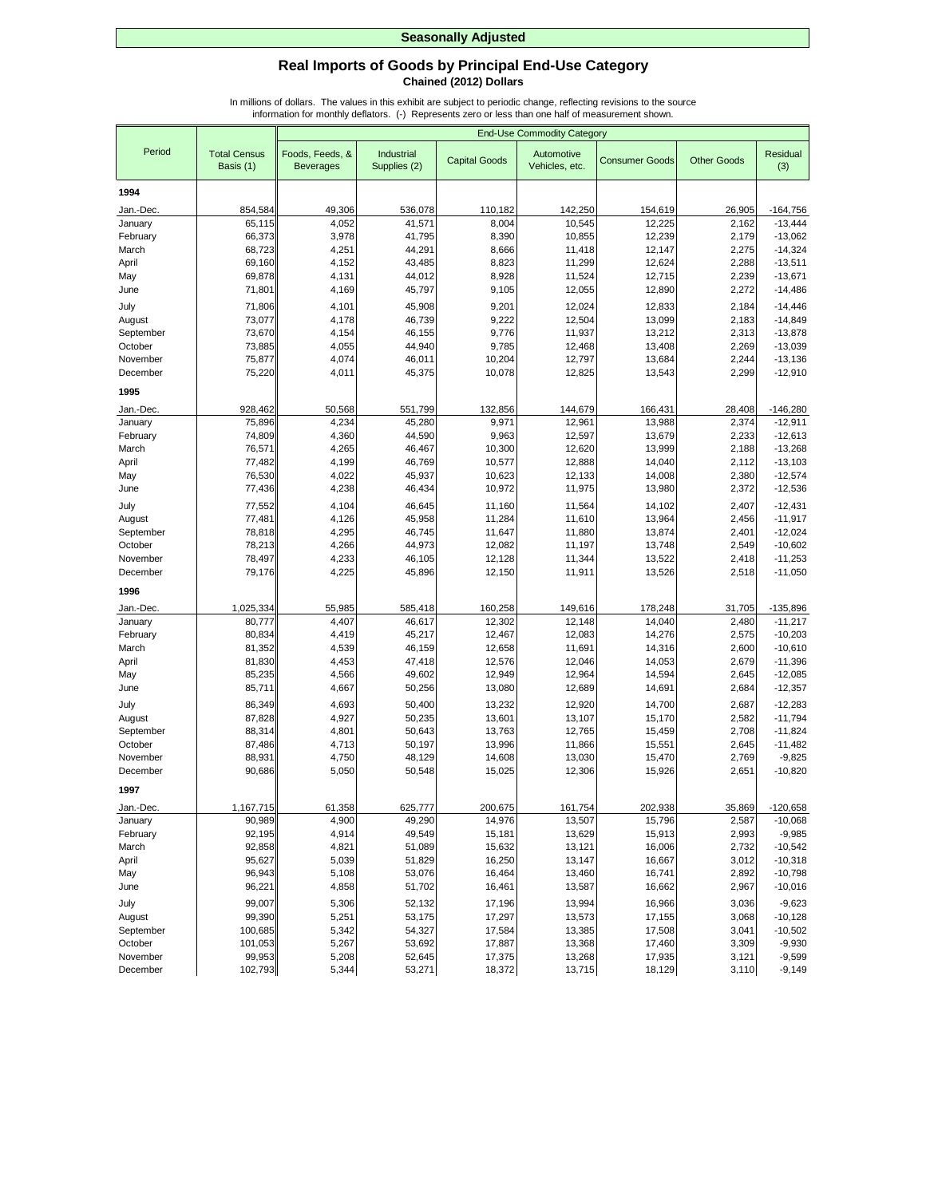## **Real Imports of Goods by Principal End-Use Category Chained (2012) Dollars**

|                      |                                  |                                     |                            |                      | <b>End-Use Commodity Category</b> |                       |                    |                        |
|----------------------|----------------------------------|-------------------------------------|----------------------------|----------------------|-----------------------------------|-----------------------|--------------------|------------------------|
| Period               | <b>Total Census</b><br>Basis (1) | Foods, Feeds, &<br><b>Beverages</b> | Industrial<br>Supplies (2) | <b>Capital Goods</b> | Automotive<br>Vehicles, etc.      | <b>Consumer Goods</b> | <b>Other Goods</b> | Residual<br>(3)        |
| 1994                 |                                  |                                     |                            |                      |                                   |                       |                    |                        |
| Jan.-Dec.            | 854.584                          | 49,306                              | 536,078                    | 110,182              | 142,250                           | 154,619               | 26,905             | $-164,756$             |
| January              | 65,115                           | 4,052                               | 41,571                     | 8,004                | 10,545                            | 12,225                | 2,162              | $-13,444$              |
| February             | 66,373                           | 3,978                               | 41,795                     | 8,390                | 10,855                            | 12,239                | 2,179              | $-13,062$              |
| March                | 68,723                           | 4,251                               | 44,291                     | 8,666                | 11,418                            | 12,147                | 2,275              | $-14,324$              |
| April                | 69,160                           | 4,152                               | 43,485                     | 8,823                | 11,299                            | 12,624                | 2,288              | $-13,511$              |
| May                  | 69,878                           | 4,131                               | 44,012                     | 8,928                | 11,524                            | 12,715                | 2,239              | $-13,671$              |
| June                 | 71,801                           | 4,169                               | 45,797                     | 9,105                | 12,055                            | 12,890                | 2,272              | $-14,486$              |
| July                 | 71,806                           | 4,101                               | 45,908                     | 9,201                | 12,024                            | 12,833                | 2,184              | $-14,446$              |
| August               | 73,077                           | 4,178                               | 46,739                     | 9,222                | 12,504                            | 13,099                | 2,183              | $-14,849$              |
| September            | 73,670                           | 4,154                               | 46,155                     | 9,776                | 11,937                            | 13,212                | 2,313              | $-13,878$              |
| October              | 73,885                           | 4,055                               | 44,940                     | 9,785                | 12,468                            | 13,408                | 2,269              | $-13,039$              |
| November<br>December | 75,877<br>75,220                 | 4,074<br>4,011                      | 46,011<br>45,375           | 10,204<br>10,078     | 12,797<br>12,825                  | 13,684                | 2,244<br>2,299     | $-13,136$<br>$-12,910$ |
|                      |                                  |                                     |                            |                      |                                   | 13,543                |                    |                        |
| 1995                 |                                  |                                     |                            |                      |                                   |                       |                    |                        |
| Jan.-Dec.            | 928,462                          | 50,568                              | 551,799                    | 132,856              | 144,679                           | 166,431               | 28,408             | $-146,280$             |
| January              | 75,896                           | 4,234                               | 45,280                     | 9,971                | 12,961                            | 13,988                | 2,374              | $-12,911$              |
| February             | 74,809                           | 4,360                               | 44,590                     | 9,963                | 12,597                            | 13,679                | 2,233              | $-12,613$              |
| March                | 76,571                           | 4,265                               | 46,467                     | 10,300               | 12,620                            | 13,999                | 2,188              | $-13,268$              |
| April                | 77,482<br>76,530                 | 4,199<br>4,022                      | 46,769<br>45,937           | 10,577<br>10,623     | 12,888<br>12,133                  | 14,040<br>14,008      | 2,112<br>2,380     | $-13,103$<br>$-12,574$ |
| May<br>June          | 77,436                           | 4,238                               | 46,434                     | 10,972               | 11,975                            | 13,980                | 2,372              | $-12,536$              |
|                      |                                  |                                     |                            |                      |                                   |                       |                    |                        |
| July                 | 77,552                           | 4,104                               | 46,645<br>45,958           | 11,160               | 11,564                            | 14,102<br>13,964      | 2,407<br>2,456     | $-12,431$              |
| August<br>September  | 77,481<br>78,818                 | 4,126<br>4,295                      | 46,745                     | 11,284<br>11,647     | 11,610<br>11,880                  | 13,874                | 2,401              | $-11,917$<br>$-12,024$ |
| October              | 78,213                           | 4,266                               | 44,973                     | 12,082               | 11,197                            | 13,748                | 2,549              | $-10,602$              |
| November             | 78,497                           | 4,233                               | 46,105                     | 12,128               | 11,344                            | 13,522                | 2,418              | $-11,253$              |
| December             | 79,176                           | 4,225                               | 45,896                     | 12,150               | 11,911                            | 13,526                | 2,518              | $-11,050$              |
| 1996                 |                                  |                                     |                            |                      |                                   |                       |                    |                        |
| Jan.-Dec.            |                                  | 55,985                              | 585,418                    | 160,258              | 149,616                           | 178,248               | 31,705             | $-135,896$             |
| January              | 1,025,334<br>80,777              | 4,407                               | 46,617                     | 12,302               | 12,148                            | 14,040                | 2,480              | $-11,217$              |
| February             | 80,834                           | 4,419                               | 45,217                     | 12,467               | 12,083                            | 14,276                | 2,575              | $-10,203$              |
| March                | 81,352                           | 4,539                               | 46,159                     | 12,658               | 11,691                            | 14,316                | 2,600              | $-10,610$              |
| April                | 81,830                           | 4,453                               | 47,418                     | 12,576               | 12,046                            | 14,053                | 2,679              | $-11,396$              |
| May                  | 85,235                           | 4,566                               | 49,602                     | 12,949               | 12,964                            | 14,594                | 2,645              | $-12,085$              |
| June                 | 85,711                           | 4,667                               | 50,256                     | 13,080               | 12,689                            | 14,691                | 2,684              | $-12,357$              |
| July                 | 86,349                           | 4,693                               | 50,400                     | 13,232               | 12,920                            | 14,700                | 2,687              | $-12,283$              |
| August               | 87,828                           | 4,927                               | 50,235                     | 13,601               | 13,107                            | 15,170                | 2,582              | $-11,794$              |
| September            | 88,314                           | 4,801                               | 50,643                     | 13,763               | 12,765                            | 15,459                | 2,708              | $-11,824$              |
| October              | 87,486                           | 4,713                               | 50,197                     | 13,996               | 11,866                            | 15,551                | 2,645              | $-11,482$              |
| November             | 88,931                           | 4,750                               | 48,129                     | 14,608               | 13,030                            | 15,470                | 2,769              | $-9,825$               |
| December             | 90,686                           | 5,050                               | 50,548                     | 15,025               | 12,306                            | 15,926                | 2,651              | $-10,820$              |
| 1997                 |                                  |                                     |                            |                      |                                   |                       |                    |                        |
| Jan.-Dec.            | 1,167,715                        | 61,358                              | 625,777                    | 200,675              | 161,754                           | 202,938               | 35,869             | $-120,658$             |
| January              | 90,989                           | 4,900                               | 49,290                     | 14,976               | 13,507                            | 15,796                | 2,587              | $-10,068$              |
| February             | 92,195                           | 4,914                               | 49,549                     | 15,181               | 13,629                            | 15,913                | 2,993              | $-9,985$               |
| March                | 92,858                           | 4,821                               | 51,089                     | 15,632               | 13,121                            | 16,006                | 2,732              | $-10,542$              |
| April                | 95,627                           | 5,039                               | 51,829                     | 16,250               | 13,147                            | 16,667                | 3,012              | $-10,318$              |
| May                  | 96,943                           | 5,108                               | 53,076                     | 16,464               | 13,460                            | 16,741                | 2,892              | $-10,798$              |
| June                 | 96,221                           | 4,858                               | 51,702                     | 16,461               | 13,587                            | 16,662                | 2,967              | $-10,016$              |
| July                 | 99,007                           | 5,306                               | 52,132                     | 17,196               | 13,994                            | 16,966                | 3,036              | $-9,623$               |
| August               | 99,390<br>100,685                | 5,251                               | 53,175                     | 17,297               | 13,573                            | 17,155                | 3,068              | $-10,128$              |
| September<br>October | 101,053                          | 5,342<br>5,267                      | 54,327<br>53,692           | 17,584<br>17,887     | 13,385<br>13,368                  | 17,508<br>17,460      | 3,041<br>3,309     | $-10,502$<br>$-9,930$  |
| November             | 99,953                           | 5,208                               | 52,645                     | 17,375               | 13,268                            | 17,935                | 3,121              | $-9,599$               |
| December             | 102,793                          | 5,344                               | 53,271                     | 18,372               | 13,715                            | 18,129                | 3,110              | $-9,149$               |
|                      |                                  |                                     |                            |                      |                                   |                       |                    |                        |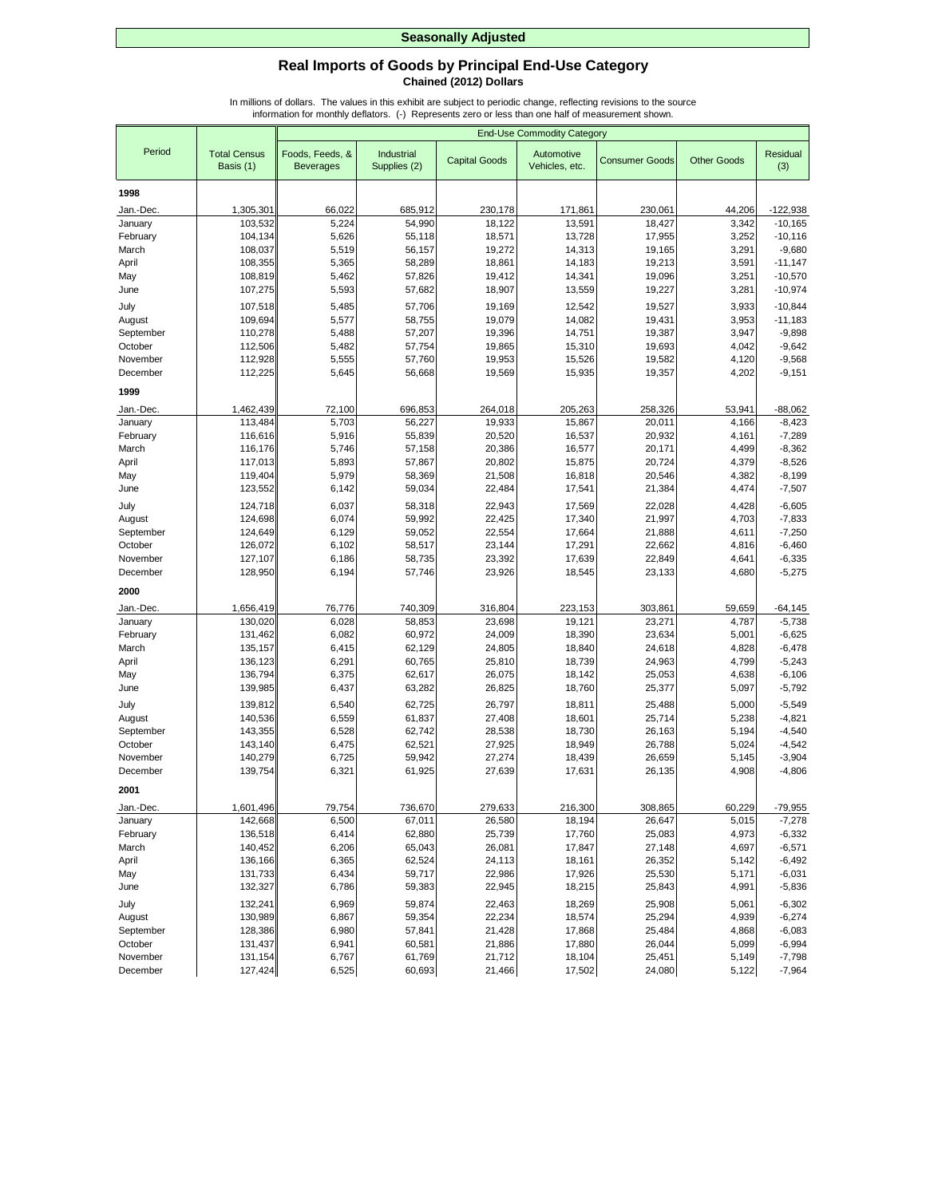## **Real Imports of Goods by Principal End-Use Category Chained (2012) Dollars**

|                      |                                  |                                     |                            |                      | <b>End-Use Commodity Category</b> |                       |                    |                        |
|----------------------|----------------------------------|-------------------------------------|----------------------------|----------------------|-----------------------------------|-----------------------|--------------------|------------------------|
| Period               | <b>Total Census</b><br>Basis (1) | Foods, Feeds, &<br><b>Beverages</b> | Industrial<br>Supplies (2) | <b>Capital Goods</b> | Automotive<br>Vehicles, etc.      | <b>Consumer Goods</b> | <b>Other Goods</b> | <b>Residual</b><br>(3) |
| 1998                 |                                  |                                     |                            |                      |                                   |                       |                    |                        |
| Jan.-Dec.            | 1,305,301                        | 66,022                              | 685,912                    | 230,178              | 171,861                           | 230,061               | 44,206             | $-122,938$             |
| January              | 103,532                          | 5,224                               | 54.990                     | 18,122               | 13,591                            | 18,427                | 3,342              | $-10, 165$             |
| February             | 104,134                          | 5,626                               | 55,118                     | 18,571               | 13,728                            | 17,955                | 3,252              | $-10, 116$             |
| March                | 108,037                          | 5,519                               | 56,157                     | 19,272               | 14,313                            | 19,165                | 3,291              | $-9,680$               |
| April                | 108,355                          | 5,365                               | 58,289                     | 18,861               | 14,183                            | 19,213                | 3,591              | $-11,147$              |
| May                  | 108,819                          | 5,462                               | 57,826                     | 19,412               | 14,341                            | 19,096                | 3,251              | $-10,570$              |
| June                 | 107,275                          | 5,593                               | 57,682                     | 18,907               | 13,559                            | 19,227                | 3,281              | $-10,974$              |
| July                 | 107,518                          | 5,485                               | 57,706                     | 19,169               | 12,542                            | 19,527                | 3,933              | $-10,844$              |
| August               | 109,694                          | 5,577                               | 58,755                     | 19,079               | 14,082                            | 19,431                | 3,953              | $-11,183$              |
| September            | 110,278                          | 5,488                               | 57,207                     | 19,396               | 14,751                            | 19,387                | 3,947              | $-9,898$               |
| October              | 112,506                          | 5,482                               | 57,754                     | 19,865               | 15,310                            | 19,693                | 4,042              | $-9,642$               |
| November             | 112,928                          | 5,555                               | 57,760                     | 19,953               | 15,526                            | 19,582                | 4,120              | $-9,568$               |
| December             | 112,225                          | 5,645                               | 56,668                     | 19,569               | 15,935                            | 19,357                | 4,202              | $-9,151$               |
| 1999                 |                                  |                                     |                            |                      |                                   |                       |                    |                        |
| Jan.-Dec.            | 1,462,439                        | 72,100                              | 696,853                    | 264,018              | 205,263                           | 258,326               | 53,941             | $-88,062$              |
| January              | 113,484                          | 5,703                               | 56,227                     | 19,933               | 15,867                            | 20.011                | 4,166              | $-8,423$               |
| February             | 116,616                          | 5,916                               | 55.839                     | 20,520               | 16,537                            | 20,932                | 4,161              | $-7,289$               |
| March                | 116,176                          | 5,746                               | 57,158                     | 20,386               | 16,577                            | 20,171                | 4,499              | $-8,362$               |
| April                | 117,013                          | 5,893                               | 57,867                     | 20,802               | 15,875                            | 20,724                | 4,379              | $-8,526$               |
| May                  | 119,404                          | 5,979                               | 58,369                     | 21,508               | 16,818                            | 20,546                | 4,382              | $-8,199$               |
| June                 | 123,552                          | 6,142                               | 59,034                     | 22,484               | 17,541                            | 21,384                | 4,474              | $-7,507$               |
| July                 | 124,718                          | 6,037                               | 58,318                     | 22,943               | 17,569                            | 22,028                | 4,428              | $-6,605$               |
| August               | 124,698                          | 6,074                               | 59,992                     | 22,425               | 17,340                            | 21,997                | 4,703              | $-7,833$               |
| September            | 124,649                          | 6,129                               | 59,052                     | 22,554               | 17,664                            | 21,888                | 4,611              | $-7,250$               |
| October              | 126,072                          | 6,102                               | 58,517                     | 23,144               | 17,291                            | 22,662                | 4,816              | $-6,460$               |
| November<br>December | 127,107<br>128,950               | 6,186<br>6,194                      | 58,735<br>57,746           | 23,392<br>23,926     | 17,639<br>18,545                  | 22,849<br>23,133      | 4,641<br>4,680     | $-6,335$<br>$-5,275$   |
|                      |                                  |                                     |                            |                      |                                   |                       |                    |                        |
| 2000                 |                                  |                                     |                            |                      |                                   |                       |                    |                        |
| Jan.-Dec.            | 1,656,419                        | 76,776                              | 740,309                    | 316,804              | 223,153                           | 303,861               | 59,659             | $-64,145$              |
| January<br>February  | 130,020<br>131,462               | 6,028<br>6,082                      | 58,853<br>60,972           | 23,698<br>24,009     | 19,121<br>18,390                  | 23,271<br>23,634      | 4,787<br>5,001     | $-5,738$<br>$-6,625$   |
| March                | 135,157                          | 6,415                               | 62,129                     | 24,805               | 18,840                            | 24,618                | 4,828              | $-6,478$               |
| April                | 136,123                          | 6,291                               | 60,765                     | 25,810               | 18,739                            | 24,963                | 4,799              | $-5,243$               |
| May                  | 136,794                          | 6,375                               | 62,617                     | 26,075               | 18,142                            | 25,053                | 4,638              | $-6,106$               |
| June                 | 139,985                          | 6,437                               | 63,282                     | 26,825               | 18,760                            | 25,377                | 5,097              | $-5,792$               |
| July                 | 139,812                          | 6,540                               | 62,725                     | 26,797               | 18,811                            | 25,488                | 5,000              | $-5,549$               |
| August               | 140,536                          | 6,559                               | 61,837                     | 27,408               | 18,601                            | 25,714                | 5,238              | $-4,821$               |
| September            | 143,355                          | 6,528                               | 62,742                     | 28,538               | 18,730                            | 26,163                | 5,194              | $-4,540$               |
| October              | 143,140                          | 6,475                               | 62,521                     | 27,925               | 18,949                            | 26,788                | 5,024              | $-4,542$               |
| November             | 140,279                          | 6,725                               | 59,942                     | 27,274               | 18,439                            | 26,659                | 5,145              | $-3,904$               |
| December             | 139,754                          | 6,321                               | 61,925                     | 27,639               | 17,631                            | 26,135                | 4,908              | $-4,806$               |
| 2001                 |                                  |                                     |                            |                      |                                   |                       |                    |                        |
| Jan.-Dec.            | 1,601,496                        | 79,754                              | 736,670                    | 279,633              | 216,300                           | 308,865               | 60,229             | $-79,955$              |
| January              | 142,668                          | 6,500                               | 67,011                     | 26,580               | 18,194                            | 26,647                | 5,015              | $-7,278$               |
| February             | 136,518                          | 6,414                               | 62,880                     | 25,739               | 17,760                            | 25,083                | 4,973              | $-6,332$               |
| March                | 140,452                          | 6,206                               | 65,043                     | 26,081               | 17,847                            | 27,148                | 4,697              | $-6,571$               |
| April                | 136,166                          | 6,365                               | 62,524                     | 24,113               | 18,161                            | 26,352                | 5,142              | $-6,492$               |
| May                  | 131,733                          | 6,434                               | 59,717                     | 22,986               | 17,926                            | 25,530                | 5,171              | $-6,031$               |
| June                 | 132,327                          | 6,786                               | 59,383                     | 22,945               | 18,215                            | 25,843                | 4,991              | $-5,836$               |
| July                 | 132,241                          | 6,969                               | 59,874                     | 22,463               | 18,269                            | 25,908                | 5,061              | $-6,302$               |
| August               | 130,989                          | 6,867                               | 59,354                     | 22,234               | 18,574                            | 25,294                | 4,939              | $-6,274$               |
| September            | 128,386                          | 6,980                               | 57,841                     | 21,428               | 17,868                            | 25,484                | 4,868              | $-6,083$               |
| October              | 131,437                          | 6,941                               | 60,581                     | 21,886               | 17,880                            | 26,044                | 5,099              | $-6,994$               |
| November             | 131,154                          | 6,767                               | 61,769                     | 21,712               | 18,104                            | 25,451                | 5,149              | $-7,798$               |
| December             | 127,424                          | 6,525                               | 60,693                     | 21,466               | 17,502                            | 24,080                | 5,122              | $-7,964$               |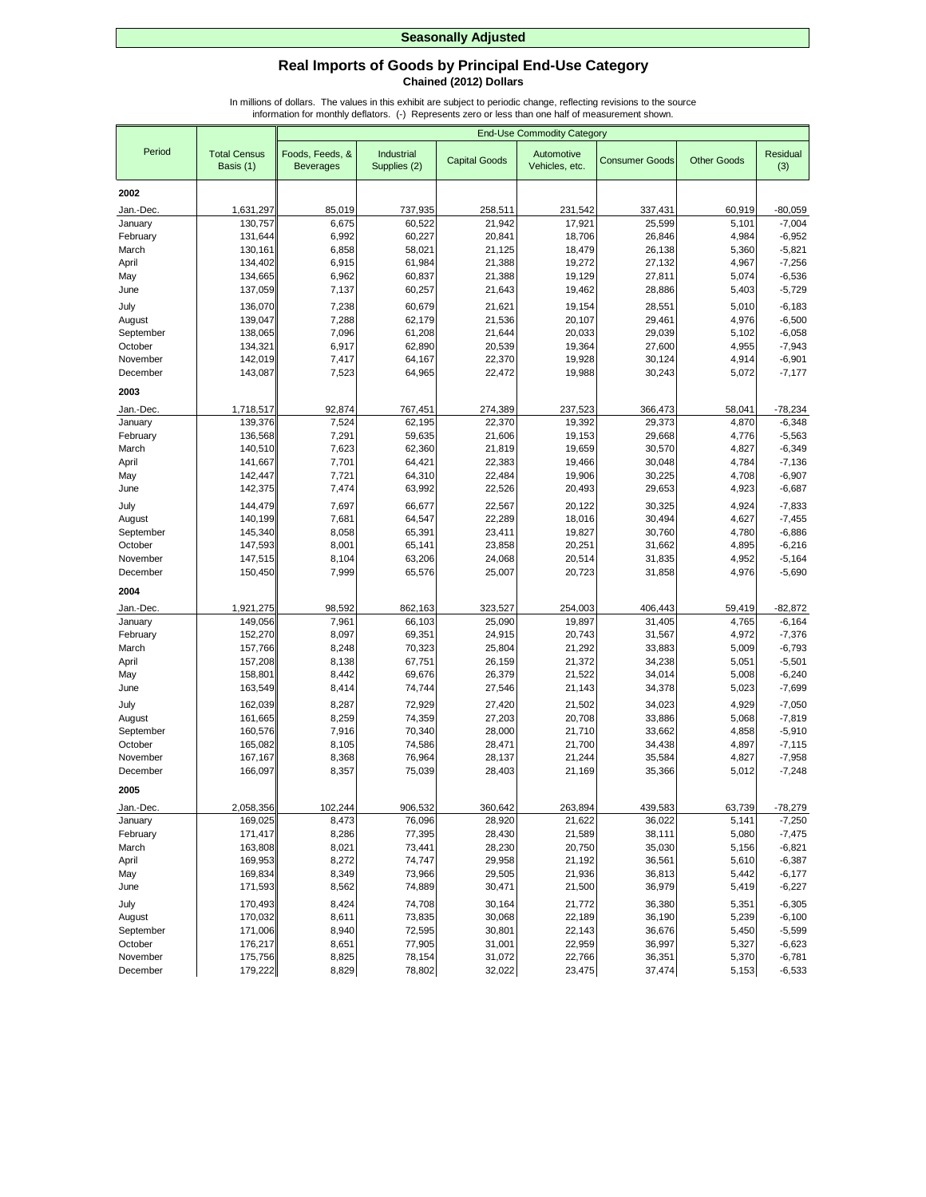## **Real Imports of Goods by Principal End-Use Category Chained (2012) Dollars**

|                      |                                  |                                     |                            |                      | <b>End-Use Commodity Category</b> |                       |                    |                      |
|----------------------|----------------------------------|-------------------------------------|----------------------------|----------------------|-----------------------------------|-----------------------|--------------------|----------------------|
| Period               | <b>Total Census</b><br>Basis (1) | Foods, Feeds, &<br><b>Beverages</b> | Industrial<br>Supplies (2) | <b>Capital Goods</b> | Automotive<br>Vehicles, etc.      | <b>Consumer Goods</b> | <b>Other Goods</b> | Residual<br>(3)      |
| 2002                 |                                  |                                     |                            |                      |                                   |                       |                    |                      |
| Jan.-Dec.            | 1,631,297                        | 85,019                              | 737,935                    | 258,511              | 231,542                           | 337,431               | 60,919             | $-80,059$            |
| January              | 130,757                          | 6,675                               | 60,522                     | 21,942               | 17,921                            | 25,599                | 5,101              | $-7,004$             |
| February             | 131,644                          | 6,992                               | 60,227                     | 20,841               | 18,706                            | 26,846                | 4,984              | $-6,952$             |
| March                | 130,161                          | 6,858                               | 58,021                     | 21,125               | 18,479                            | 26,138                | 5,360              | $-5,821$             |
| April                | 134,402                          | 6,915                               | 61,984                     | 21,388               | 19,272                            | 27,132                | 4,967              | $-7,256$             |
| May                  | 134,665                          | 6,962                               | 60,837                     | 21,388               | 19,129                            | 27,811                | 5,074              | $-6,536$             |
| June                 | 137,059                          | 7,137                               | 60,257                     | 21,643               | 19,462                            | 28,886                | 5,403              | $-5,729$             |
| July                 | 136,070                          | 7,238                               | 60,679                     | 21,621               | 19,154                            | 28,551                | 5,010              | $-6,183$             |
| August               | 139,047                          | 7,288                               | 62,179                     | 21,536               | 20,107                            | 29,461                | 4,976              | $-6,500$             |
| September            | 138,065                          | 7,096                               | 61,208                     | 21,644               | 20,033                            | 29,039                | 5,102              | $-6,058$             |
| October              | 134,321                          | 6,917                               | 62,890                     | 20,539               | 19,364                            | 27,600                | 4,955              | $-7,943$             |
| November             | 142,019                          | 7,417                               | 64,167                     | 22,370               | 19,928                            | 30,124                | 4,914              | $-6,901$             |
| December             | 143,087                          | 7,523                               | 64,965                     | 22,472               | 19,988                            | 30,243                | 5,072              | $-7,177$             |
| 2003                 |                                  |                                     |                            |                      |                                   |                       |                    |                      |
| Jan.-Dec.            | 1,718,517                        | 92,874                              | 767,451                    | 274,389              | 237,523                           | 366,473               | 58,041             | $-78,234$            |
| January              | 139,376                          | 7,524                               | 62,195                     | 22,370               | 19,392                            | 29,373                | 4,870              | $-6,348$             |
| February             | 136,568                          | 7,291                               | 59,635                     | 21,606               | 19,153                            | 29.668                | 4,776              | $-5,563$             |
| March                | 140,510                          | 7,623                               | 62,360                     | 21,819               | 19,659                            | 30,570                | 4,827              | $-6,349$             |
| April                | 141,667                          | 7,701                               | 64,421                     | 22,383               | 19,466                            | 30,048                | 4,784              | $-7,136$             |
| May                  | 142,447                          | 7,721                               | 64,310                     | 22,484               | 19,906                            | 30,225                | 4,708              | $-6,907$             |
| June                 | 142,375                          | 7,474                               | 63,992                     | 22,526               | 20,493                            | 29,653                | 4,923              | $-6,687$             |
| July                 | 144,479                          | 7,697                               | 66,677                     | 22,567               | 20,122                            | 30,325                | 4,924              | $-7,833$             |
| August               | 140,199                          | 7,681                               | 64,547                     | 22,289               | 18,016                            | 30,494                | 4,627              | $-7,455$             |
| September            | 145,340                          | 8,058                               | 65,391                     | 23,411               | 19,827                            | 30,760                | 4,780              | $-6,886$             |
| October<br>November  | 147,593                          | 8,001                               | 65,141                     | 23,858               | 20,251                            | 31,662                | 4,895              | $-6,216$             |
| December             | 147,515<br>150,450               | 8,104<br>7,999                      | 63,206<br>65,576           | 24,068<br>25,007     | 20,514<br>20,723                  | 31,835<br>31,858      | 4,952<br>4,976     | $-5,164$<br>$-5,690$ |
|                      |                                  |                                     |                            |                      |                                   |                       |                    |                      |
| 2004                 |                                  |                                     |                            |                      |                                   |                       |                    |                      |
| Jan.-Dec.            | 1,921,275                        | 98,592                              | 862,163                    | 323,527              | 254,003                           | 406,443               | 59,419             | $-82,872$            |
| January              | 149,056                          | 7,961                               | 66,103                     | 25,090               | 19,897                            | 31,405                | 4,765              | $-6,164$             |
| February             | 152,270                          | 8,097                               | 69,351                     | 24,915               | 20,743                            | 31,567                | 4,972              | $-7,376$             |
| March                | 157,766                          | 8,248                               | 70,323                     | 25,804               | 21,292                            | 33,883                | 5,009<br>5,051     | $-6,793$<br>$-5,501$ |
| April<br>May         | 157,208<br>158,801               | 8,138<br>8,442                      | 67,751<br>69,676           | 26,159<br>26,379     | 21,372<br>21,522                  | 34,238<br>34,014      | 5,008              | $-6,240$             |
| June                 | 163,549                          | 8,414                               | 74,744                     | 27,546               | 21,143                            | 34,378                | 5,023              | $-7,699$             |
|                      |                                  |                                     |                            |                      |                                   |                       |                    |                      |
| July<br>August       | 162,039<br>161,665               | 8,287<br>8,259                      | 72,929<br>74,359           | 27,420<br>27,203     | 21,502<br>20,708                  | 34,023<br>33,886      | 4,929<br>5,068     | $-7,050$<br>$-7,819$ |
| September            | 160,576                          | 7,916                               | 70,340                     | 28,000               | 21,710                            | 33,662                | 4,858              | $-5,910$             |
| October              | 165,082                          | 8,105                               | 74,586                     | 28,471               | 21,700                            | 34,438                | 4,897              | $-7,115$             |
| November             | 167,167                          | 8,368                               | 76,964                     | 28,137               | 21,244                            | 35,584                | 4,827              | $-7,958$             |
| December             | 166,097                          | 8,357                               | 75,039                     | 28,403               | 21,169                            | 35,366                | 5,012              | $-7,248$             |
| 2005                 |                                  |                                     |                            |                      |                                   |                       |                    |                      |
| Jan.-Dec.            | 2,058,356                        | 102,244                             | 906,532                    | 360,642              | 263,894                           | 439,583               | 63,739             | $-78,279$            |
| January              | 169,025                          | 8,473                               | 76,096                     | 28,920               | 21,622                            | 36,022                | 5,141              | $-7,250$             |
| February             | 171,417                          | 8,286                               | 77,395                     | 28,430               | 21,589                            | 38,111                | 5,080              | $-7,475$             |
| March                | 163,808                          | 8,021                               | 73,441                     | 28,230               | 20,750                            | 35,030                | 5,156              | $-6,821$             |
| April                | 169,953                          | 8,272                               | 74,747                     | 29,958               | 21,192                            | 36,561                | 5,610              | $-6,387$             |
| May                  | 169,834                          | 8,349                               | 73,966                     | 29,505               | 21,936                            | 36,813                | 5,442              | $-6,177$             |
| June                 | 171,593                          | 8,562                               | 74,889                     | 30,471               | 21,500                            | 36,979                | 5,419              | $-6,227$             |
| July                 | 170,493                          | 8,424                               | 74,708                     | 30,164               | 21,772                            | 36,380                | 5,351              | $-6,305$             |
| August               | 170,032                          | 8,611                               | 73,835                     | 30,068               | 22,189                            | 36,190                | 5,239              | $-6,100$             |
| September            | 171,006                          | 8,940                               | 72,595                     | 30,801               | 22,143                            | 36,676                | 5,450              | $-5,599$             |
| October              | 176,217                          | 8,651                               | 77,905<br>78,154           | 31,001               | 22,959                            | 36,997                | 5,327              | $-6,623$             |
| November<br>December | 175,756<br>179,222               | 8,825<br>8,829                      | 78,802                     | 31,072<br>32,022     | 22,766<br>23,475                  | 36,351<br>37,474      | 5,370<br>5,153     | $-6,781$<br>$-6,533$ |
|                      |                                  |                                     |                            |                      |                                   |                       |                    |                      |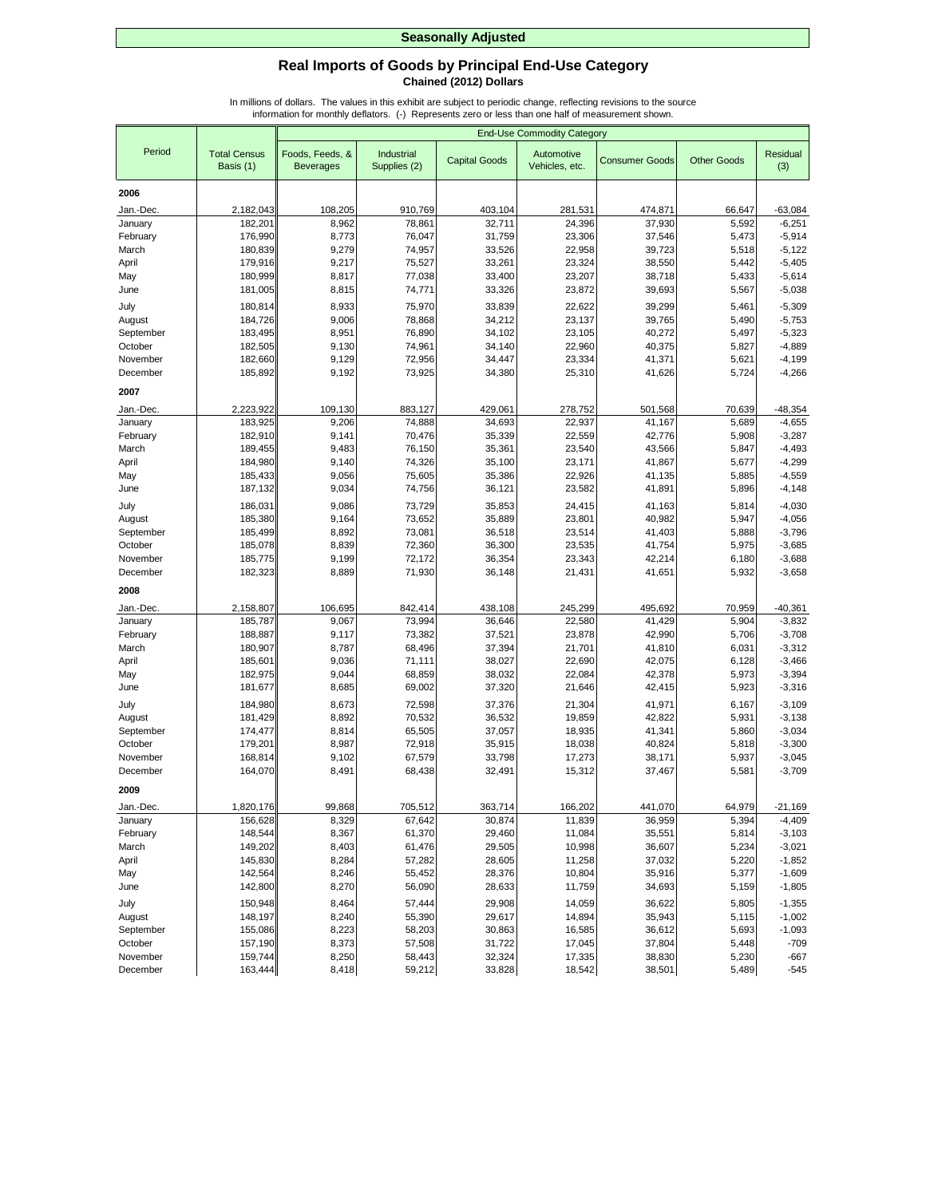## **Real Imports of Goods by Principal End-Use Category Chained (2012) Dollars**

|              |                                  |                                     |                            |                      | <b>End-Use Commodity Category</b> |                       |                    |                      |
|--------------|----------------------------------|-------------------------------------|----------------------------|----------------------|-----------------------------------|-----------------------|--------------------|----------------------|
| Period       | <b>Total Census</b><br>Basis (1) | Foods, Feeds, &<br><b>Beverages</b> | Industrial<br>Supplies (2) | <b>Capital Goods</b> | Automotive<br>Vehicles, etc.      | <b>Consumer Goods</b> | <b>Other Goods</b> | Residual<br>(3)      |
| 2006         |                                  |                                     |                            |                      |                                   |                       |                    |                      |
| Jan.-Dec.    | 2,182,043                        | 108,205                             | 910,769                    | 403,104              | 281,531                           | 474,871               | 66,647             | $-63,084$            |
| January      | 182,201                          | 8,962                               | 78,861                     | 32,711               | 24,396                            | 37,930                | 5,592              | $-6,251$             |
| February     | 176,990                          | 8,773                               | 76,047                     | 31,759               | 23,306                            | 37,546                | 5,473              | $-5,914$             |
| March        | 180,839                          | 9,279                               | 74,957                     | 33,526               | 22,958                            | 39,723                | 5,518              | $-5,122$             |
| April        | 179,916                          | 9,217                               | 75,527                     | 33,261               | 23,324                            | 38,550                | 5,442              | $-5,405$             |
| May          | 180,999                          | 8,817                               | 77,038                     | 33,400               | 23,207                            | 38,718                | 5,433              | $-5,614$             |
| June         | 181,005                          | 8,815                               | 74,771                     | 33,326               | 23,872                            | 39,693                | 5,567              | $-5,038$             |
| July         | 180,814                          | 8,933                               | 75,970                     | 33,839               | 22,622                            | 39,299                | 5,461              | $-5,309$             |
| August       | 184,726                          | 9,006                               | 78,868                     | 34,212               | 23,137                            | 39,765                | 5,490              | $-5,753$             |
| September    | 183,495                          | 8,951                               | 76,890                     | 34,102               | 23,105                            | 40,272                | 5,497              | $-5,323$             |
| October      | 182,505                          | 9,130                               | 74,961                     | 34,140               | 22,960                            | 40,375                | 5,827              | $-4,889$             |
| November     | 182,660                          | 9,129                               | 72,956                     | 34,447               | 23,334                            | 41,371                | 5,621              | $-4,199$             |
| December     | 185,892                          | 9,192                               | 73,925                     | 34,380               | 25,310                            | 41,626                | 5,724              | $-4,266$             |
| 2007         |                                  |                                     |                            |                      |                                   |                       |                    |                      |
| Jan.-Dec.    | 2,223,922                        | 109,130                             | 883,127                    | 429,061              | 278,752                           | 501,568               | 70,639             | $-48,354$            |
| January      | 183,925                          | 9,206                               | 74,888                     | 34,693               | 22,937                            | 41,167                | 5,689              | $-4,655$             |
| February     | 182,910                          | 9,141                               | 70,476                     | 35,339               | 22,559                            | 42,776                | 5,908              | $-3,287$             |
| March        | 189,455                          | 9,483                               | 76,150                     | 35,361               | 23,540                            | 43,566                | 5,847              | $-4,493$             |
| April        | 184,980                          | 9,140                               | 74,326                     | 35,100               | 23,171                            | 41,867                | 5,677              | $-4,299$             |
| May          | 185,433                          | 9,056                               | 75,605                     | 35,386               | 22,926                            | 41,135                | 5,885              | $-4,559$             |
| June         | 187,132                          | 9,034                               | 74,756                     | 36,121               | 23,582                            | 41,891                | 5,896              | $-4,148$             |
| July         | 186,031                          | 9,086                               | 73,729                     | 35,853               | 24,415                            | 41,163                | 5,814              | $-4,030$             |
| August       | 185,380                          | 9,164                               | 73,652                     | 35,889               | 23,801                            | 40,982                | 5,947              | $-4,056$             |
| September    | 185,499                          | 8,892                               | 73,081                     | 36,518               | 23,514                            | 41,403                | 5,888              | $-3,796$             |
| October      | 185,078                          | 8,839                               | 72,360                     | 36,300               | 23,535                            | 41,754                | 5,975              | $-3,685$             |
| November     | 185,775                          | 9,199                               | 72,172                     | 36,354               | 23,343                            | 42,214                | 6,180              | $-3,688$             |
| December     | 182,323                          | 8,889                               | 71,930                     | 36,148               | 21,431                            | 41,651                | 5,932              | $-3,658$             |
| 2008         |                                  |                                     |                            |                      |                                   |                       |                    |                      |
| Jan.-Dec.    | 2,158,807                        | 106,695                             | 842,414                    | 438,108              | 245,299                           | 495,692               | 70,959             | $-40,361$            |
| January      | 185,787                          | 9,067                               | 73,994                     | 36,646               | 22,580                            | 41,429                | 5,904              | $-3,832$             |
| February     | 188,887                          | 9,117                               | 73,382                     | 37,521               | 23,878                            | 42,990                | 5,706              | $-3,708$             |
| March        | 180,907<br>185,601               | 8,787<br>9,036                      | 68,496<br>71,111           | 37,394<br>38,027     | 21,701<br>22,690                  | 41,810<br>42,075      | 6,031<br>6,128     | $-3,312$<br>$-3,466$ |
| April<br>May | 182,975                          | 9,044                               | 68,859                     | 38,032               | 22,084                            | 42,378                | 5,973              | $-3,394$             |
| June         | 181,677                          | 8,685                               | 69,002                     | 37,320               | 21,646                            | 42,415                | 5,923              | $-3,316$             |
| July         | 184,980                          | 8,673                               | 72,598                     | 37,376               | 21,304                            | 41,971                | 6,167              | $-3,109$             |
| August       | 181,429                          | 8,892                               | 70,532                     | 36,532               | 19,859                            | 42,822                | 5,931              | $-3,138$             |
| September    | 174,477                          | 8,814                               | 65,505                     | 37,057               | 18,935                            | 41,341                | 5,860              | $-3,034$             |
| October      | 179,201                          | 8,987                               | 72,918                     | 35,915               | 18,038                            | 40,824                | 5,818              | $-3,300$             |
| November     | 168,814                          | 9,102                               | 67,579                     | 33,798               | 17,273                            | 38.171                | 5,937              | $-3,045$             |
| December     | 164,070                          | 8,491                               | 68,438                     | 32,491               | 15,312                            | 37,467                | 5,581              | $-3,709$             |
| 2009         |                                  |                                     |                            |                      |                                   |                       |                    |                      |
| Jan.-Dec.    | 1,820,176                        | 99,868                              | 705,512                    | 363,714              | 166,202                           | 441,070               | 64,979             | $-21,169$            |
| January      | 156,628                          | 8,329                               | 67,642                     | 30,874               | 11,839                            | 36,959                | 5,394              | $-4,409$             |
| February     | 148,544                          | 8,367                               | 61,370                     | 29,460               | 11,084                            | 35,551                | 5,814              | $-3,103$             |
| March        | 149,202                          | 8,403                               | 61,476                     | 29,505               | 10,998                            | 36,607                | 5,234              | $-3,021$             |
| April        | 145,830                          | 8,284                               | 57,282                     | 28,605               | 11,258                            | 37,032                | 5,220              | $-1,852$             |
| May          | 142,564                          | 8,246                               | 55,452                     | 28,376               | 10,804                            | 35,916                | 5,377              | $-1,609$             |
| June         | 142,800                          | 8,270                               | 56,090                     | 28,633               | 11,759                            | 34,693                | 5,159              | $-1,805$             |
| July         | 150,948                          | 8,464                               | 57,444                     | 29,908               | 14,059                            | 36,622                | 5,805              | $-1,355$             |
| August       | 148,197                          | 8,240                               | 55,390                     | 29,617               | 14,894                            | 35,943                | 5,115              | $-1,002$             |
| September    | 155,086                          | 8,223                               | 58,203                     | 30,863               | 16,585                            | 36,612                | 5,693              | $-1,093$             |
| October      | 157,190                          | 8,373                               | 57,508                     | 31,722               | 17,045                            | 37,804                | 5,448              | $-709$               |
| November     | 159,744                          | 8,250                               | 58,443                     | 32,324               | 17,335                            | 38,830                | 5,230              | $-667$               |
| December     | 163,444                          | 8,418                               | 59,212                     | 33,828               | 18,542                            | 38,501                | 5,489              | $-545$               |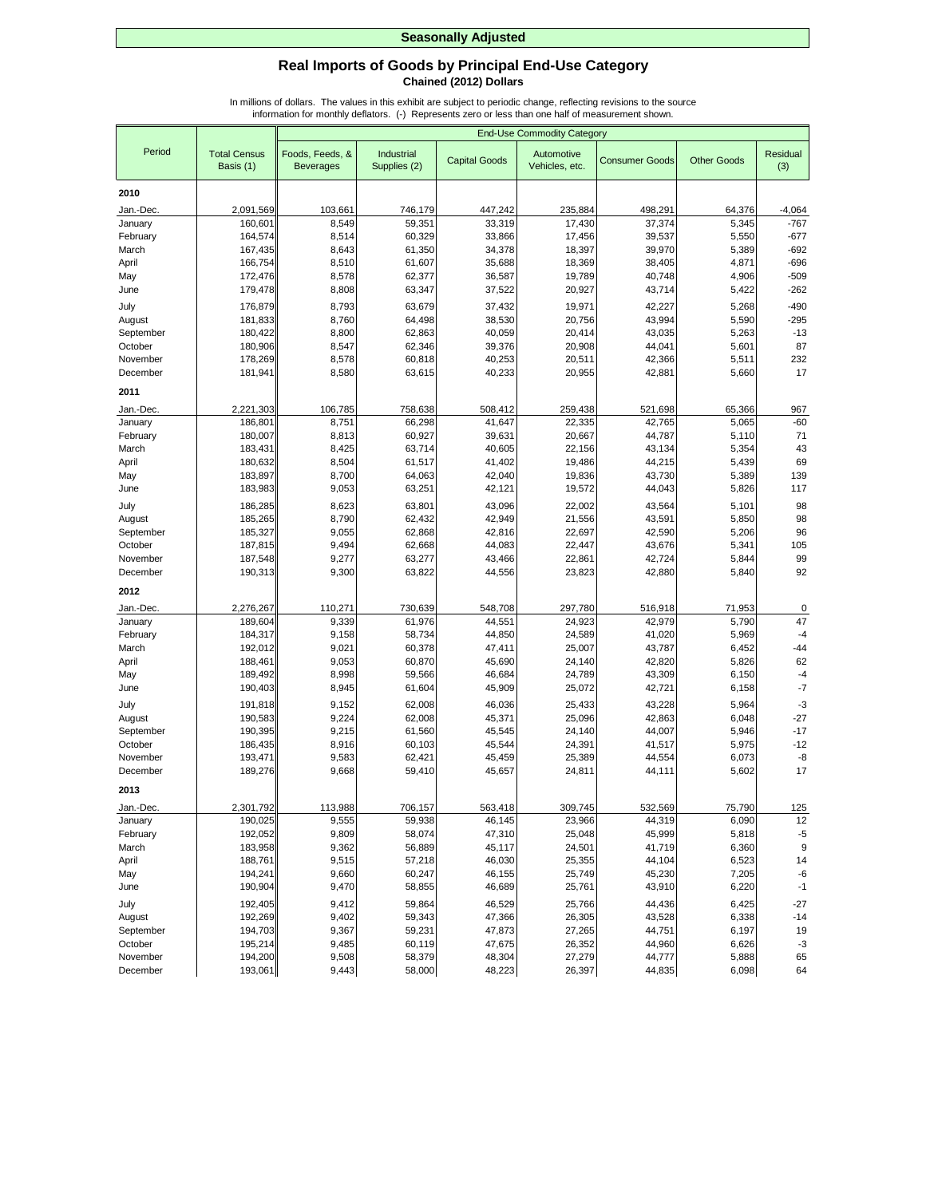## **Real Imports of Goods by Principal End-Use Category Chained (2012) Dollars**

|                     |                                  |                                     |                            |                      | <b>End-Use Commodity Category</b> |                       |                    |                 |
|---------------------|----------------------------------|-------------------------------------|----------------------------|----------------------|-----------------------------------|-----------------------|--------------------|-----------------|
| Period              | <b>Total Census</b><br>Basis (1) | Foods, Feeds, &<br><b>Beverages</b> | Industrial<br>Supplies (2) | <b>Capital Goods</b> | Automotive<br>Vehicles, etc.      | <b>Consumer Goods</b> | <b>Other Goods</b> | Residual<br>(3) |
| 2010                |                                  |                                     |                            |                      |                                   |                       |                    |                 |
| Jan.-Dec.           | 2,091,569                        | 103,661                             | 746,179                    | 447,242              | 235,884                           | 498,291               | 64,376             | $-4,064$        |
| January             | 160,601                          | 8,549                               | 59,351                     | 33,319               | 17,430                            | 37,374                | 5,345              | $-767$          |
| February            | 164,574                          | 8,514                               | 60,329                     | 33,866               | 17,456                            | 39,537                | 5,550              | $-677$          |
| March               | 167,435                          | 8,643                               | 61,350                     | 34,378               | 18,397                            | 39,970                | 5,389              | $-692$          |
| April               | 166,754                          | 8,510                               | 61,607                     | 35,688               | 18,369                            | 38,405                | 4,871              | $-696$          |
| May                 | 172,476                          | 8,578                               | 62,377                     | 36,587               | 19,789                            | 40,748                | 4,906              | $-509$          |
| June                | 179,478                          | 8,808                               | 63,347                     | 37,522               | 20,927                            | 43,714                | 5,422              | $-262$          |
| July                | 176,879                          | 8,793                               | 63,679                     | 37,432               | 19,971                            | 42,227                | 5,268              | $-490$          |
| August              | 181,833                          | 8,760                               | 64,498                     | 38,530               | 20,756                            | 43,994                | 5,590              | $-295$          |
| September           | 180,422                          | 8,800                               | 62,863                     | 40,059               | 20,414                            | 43,035                | 5,263              | $-13$           |
| October             | 180,906                          | 8,547                               | 62,346                     | 39,376               | 20,908                            | 44,041                | 5,601              | 87              |
| November            | 178,269                          | 8,578                               | 60,818                     | 40,253               | 20,511                            | 42,366                | 5,511              | 232             |
| December            | 181,941                          | 8,580                               | 63,615                     | 40,233               | 20,955                            | 42,881                | 5,660              | 17              |
| 2011                |                                  |                                     |                            |                      |                                   |                       |                    |                 |
| Jan.-Dec.           | 2,221,303                        | 106,785                             | 758,638                    | 508,412              | 259,438                           | 521,698               | 65,366             | 967             |
| January             | 186,80                           | 8,751                               | 66,298                     | 41,647               | 22,335                            | 42,765                | 5,065              | $-60$           |
| February            | 180,007                          | 8,813                               | 60,927                     | 39,631               | 20,667                            | 44.787                | 5,110              | 71              |
| March               | 183,431                          | 8,425                               | 63,714                     | 40,605               | 22,156                            | 43,134                | 5,354              | 43              |
| April               | 180,632                          | 8,504                               | 61,517                     | 41,402               | 19,486                            | 44,215                | 5,439              | 69              |
| May                 | 183,897                          | 8,700                               | 64,063                     | 42,040               | 19,836                            | 43,730                | 5,389              | 139             |
| June                | 183,983                          | 9,053                               | 63,251                     | 42,121               | 19,572                            | 44,043                | 5,826              | 117             |
| July                | 186,285                          | 8,623                               | 63,801                     | 43,096               | 22,002                            | 43,564                | 5,101              | 98              |
| August              | 185,265                          | 8,790                               | 62,432                     | 42,949               | 21,556                            | 43,591                | 5,850              | 98              |
| September           | 185,327                          | 9,055                               | 62,868                     | 42,816               | 22,697                            | 42,590                | 5,206              | 96              |
| October             | 187,815                          | 9,494                               | 62,668                     | 44,083               | 22,447                            | 43,676                | 5,341              | 105             |
| November            | 187,548                          | 9,277                               | 63,277                     | 43,466               | 22,861                            | 42,724                | 5,844              | 99              |
| December            | 190,313                          | 9,300                               | 63,822                     | 44,556               | 23,823                            | 42,880                | 5,840              | 92              |
| 2012                |                                  |                                     |                            |                      |                                   |                       |                    |                 |
| Jan.-Dec.           | 2,276,267                        | 110,271                             | 730,639                    | 548,708              | 297,780                           | 516,918               | 71,953             | 0               |
| January             | 189,604                          | 9,339                               | 61,976                     | 44,551               | 24,923                            | 42,979                | 5,790              | 47              |
| February            | 184,317                          | 9,158                               | 58,734                     | 44,850               | 24,589                            | 41,020                | 5,969              | $-4$            |
| March               | 192,012                          | 9,021                               | 60,378                     | 47,411               | 25,007                            | 43,787                | 6,452              | $-44$           |
| April               | 188,461                          | 9,053                               | 60,870                     | 45,690               | 24,140                            | 42,820                | 5,826              | 62              |
| May                 | 189,492                          | 8,998                               | 59,566                     | 46,684               | 24,789                            | 43,309                | 6,150              | $-4$            |
| June                | 190,403                          | 8,945                               | 61,604                     | 45,909               | 25,072                            | 42,721                | 6,158              | $-7$            |
| July                | 191,818                          | 9,152                               | 62,008                     | 46,036               | 25,433                            | 43,228                | 5,964              | $-3$            |
| August              | 190,583                          | 9,224                               | 62,008                     | 45,371               | 25,096                            | 42,863                | 6,048              | $-27$           |
| September           | 190,395                          | 9,215                               | 61,560                     | 45,545               | 24,140                            | 44,007                | 5,946              | $-17$           |
| October<br>November | 186,435<br>193,471               | 8,916<br>9,583                      | 60,103<br>62,421           | 45,544<br>45,459     | 24,391<br>25,389                  | 41,517<br>44,554      | 5,975<br>6,073     | $-12$<br>-8     |
| December            | 189,276                          | 9,668                               | 59,410                     | 45,657               | 24,811                            | 44,111                | 5,602              | 17              |
| 2013                |                                  |                                     |                            |                      |                                   |                       |                    |                 |
|                     |                                  |                                     |                            |                      |                                   |                       |                    |                 |
| Jan.-Dec.           | 2,301,792                        | 113,988                             | 706,157                    | 563,418<br>46,145    | 309,745                           | 532,569<br>44,319     | 75,790             | 125             |
| January             | 190,025                          | 9,555                               | 59,938                     |                      | 23,966                            |                       | 6,090              | 12              |
| February<br>March   | 192,052<br>183,958               | 9,809<br>9,362                      | 58,074<br>56,889           | 47,310<br>45,117     | 25,048<br>24,501                  | 45,999<br>41,719      | 5,818<br>6,360     | $-5$<br>9       |
| April               | 188,761                          | 9,515                               | 57,218                     | 46,030               | 25,355                            | 44,104                | 6,523              | 14              |
| May                 | 194,241                          | 9,660                               | 60,247                     | 46,155               | 25,749                            | 45,230                | 7,205              | -6              |
| June                | 190,904                          | 9,470                               | 58,855                     | 46,689               | 25,761                            | 43,910                | 6,220              | $-1$            |
| July                | 192,405                          | 9,412                               | 59,864                     | 46,529               | 25,766                            | 44,436                | 6,425              | $-27$           |
| August              | 192,269                          | 9,402                               | 59,343                     | 47,366               | 26,305                            | 43,528                | 6,338              | $-14$           |
| September           | 194,703                          | 9,367                               | 59,231                     | 47,873               | 27,265                            | 44,751                | 6,197              | 19              |
| October             | 195,214                          | 9,485                               | 60,119                     | 47,675               | 26,352                            | 44,960                | 6,626              | $-3$            |
| November            | 194,200                          | 9,508                               | 58,379                     | 48,304               | 27,279                            | 44,777                | 5,888              | 65              |
| December            | 193,061                          | 9,443                               | 58,000                     | 48,223               | 26,397                            | 44,835                | 6,098              | 64              |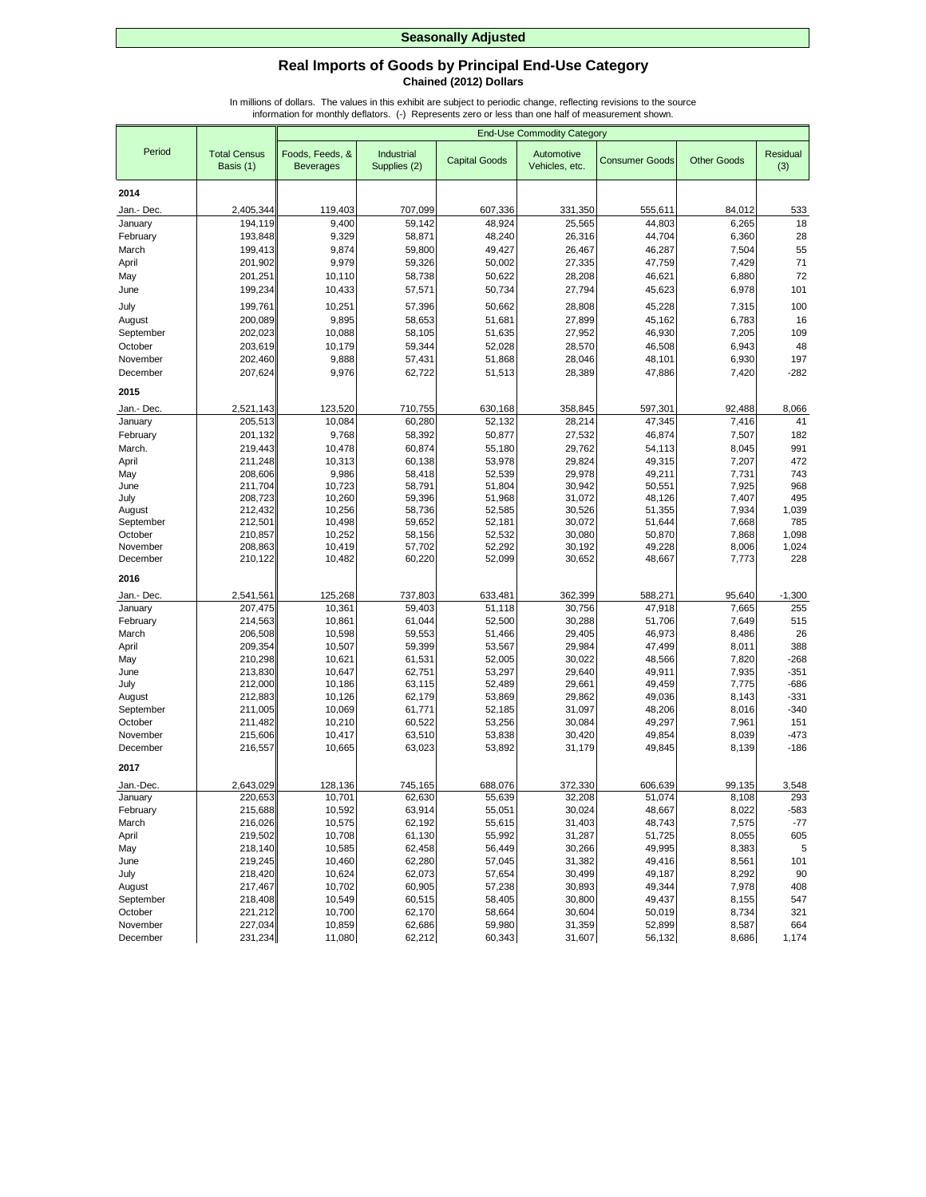## **Real Imports of Goods by Principal End-Use Category Chained (2012) Dollars**

|                       |                                  |                                     |                            |                      | <b>End-Use Commodity Category</b> |                       |                    |                 |
|-----------------------|----------------------------------|-------------------------------------|----------------------------|----------------------|-----------------------------------|-----------------------|--------------------|-----------------|
| Period                | <b>Total Census</b><br>Basis (1) | Foods, Feeds, &<br><b>Beverages</b> | Industrial<br>Supplies (2) | <b>Capital Goods</b> | Automotive<br>Vehicles, etc.      | <b>Consumer Goods</b> | <b>Other Goods</b> | Residual<br>(3) |
| 2014                  |                                  |                                     |                            |                      |                                   |                       |                    |                 |
|                       | 2,405,344                        | 119,403                             | 707,099                    | 607,336              |                                   |                       | 84,012             |                 |
| Jan.- Dec.<br>January | 194,119                          | 9,400                               | 59,142                     | 48,924               | 331,350<br>25,565                 | 555,611<br>44,803     | 6,265              | 533<br>18       |
| February              | 193,848                          | 9,329                               | 58,871                     | 48,240               | 26,316                            | 44,704                | 6,360              | 28              |
| March                 | 199,413                          | 9,874                               | 59,800                     | 49,427               | 26,467                            | 46,287                | 7,504              | 55              |
| April                 | 201,902                          | 9,979                               | 59,326                     | 50,002               | 27,335                            | 47,759                | 7,429              | 71              |
| May                   | 201,251                          | 10,110                              | 58,738                     | 50,622               | 28,208                            | 46,621                | 6,880              | 72              |
| June                  | 199,234                          | 10,433                              | 57,571                     | 50,734               | 27,794                            | 45,623                | 6,978              | 101             |
| July                  | 199,761                          | 10,251                              | 57,396                     | 50,662               | 28,808                            | 45,228                | 7,315              | 100             |
| August                | 200,089                          | 9,895                               | 58,653                     | 51,681               | 27,899                            | 45,162                | 6,783              | 16              |
| September             | 202,023                          | 10,088                              | 58,105                     | 51,635               | 27,952                            | 46,930                | 7,205              | 109             |
| October               | 203,619                          | 10,179                              | 59,344                     | 52,028               | 28,570                            | 46,508                | 6,943              | 48              |
| November              | 202,460                          | 9,888                               | 57,431                     | 51,868               | 28,046                            | 48,101                | 6,930              | 197             |
| December              | 207,624                          | 9,976                               | 62,722                     | 51,513               | 28,389                            | 47,886                | 7,420              | $-282$          |
| 2015                  |                                  |                                     |                            |                      |                                   |                       |                    |                 |
| Jan.- Dec             | 2,521,143                        | 123,520                             | 710,755                    | 630,168              | 358,845                           | 597,301               | 92,488             | 8,066           |
| January               | 205,513                          | 10,084                              | 60,280                     | 52,132               | 28,214                            | 47,345                | 7,416              | 41              |
| February              | 201,132                          | 9,768                               | 58,392                     | 50,877               | 27,532                            | 46,874                | 7,507              | 182             |
| March.                | 219,443                          | 10,478                              | 60,874                     | 55,180               | 29,762                            | 54,113                | 8,045              | 991             |
| April                 | 211,248                          | 10,313                              | 60,138                     | 53,978               | 29,824                            | 49,315                | 7,207              | 472             |
| May<br>June           | 208,606<br>211,704               | 9,986<br>10,723                     | 58,418<br>58,791           | 52,539<br>51,804     | 29,978<br>30,942                  | 49,211<br>50,551      | 7,731<br>7,925     | 743<br>968      |
| July                  | 208,723                          | 10,260                              | 59,396                     | 51,968               | 31,072                            | 48,126                | 7,407              | 495             |
| August                | 212,432                          | 10,256                              | 58,736                     | 52,585               | 30,526                            | 51,355                | 7,934              | 1,039           |
| September             | 212,501                          | 10,498                              | 59,652                     | 52,181               | 30,072                            | 51,644                | 7,668              | 785             |
| October               | 210,857                          | 10,252                              | 58,156                     | 52,532               | 30,080                            | 50,870                | 7,868              | 1,098           |
| November              | 208,863                          | 10,419                              | 57,702                     | 52,292               | 30,192                            | 49,228                | 8,006              | 1,024           |
| December              | 210,122                          | 10,482                              | 60,220                     | 52,099               | 30,652                            | 48,667                | 7,773              | 228             |
| 2016                  |                                  |                                     |                            |                      |                                   |                       |                    |                 |
| Jan.- Dec.            | 2,541,561                        | 125,268                             | 737,803                    | 633,481              | 362,399                           | 588,271               | 95,640             | $-1,300$        |
| January               | 207,475                          | 10,361                              | 59,403                     | 51,118               | 30,756                            | 47,918                | 7,665              | 255             |
| February              | 214,563                          | 10,861                              | 61,044                     | 52,500               | 30,288                            | 51,706                | 7,649              | 515             |
| March                 | 206,508                          | 10,598                              | 59,553                     | 51,466               | 29,405                            | 46,973                | 8,486              | 26              |
| April<br>May          | 209,354<br>210,298               | 10,507<br>10,621                    | 59,399<br>61,531           | 53,567<br>52,005     | 29,984<br>30,022                  | 47,499<br>48,566      | 8,011<br>7,820     | 388<br>$-268$   |
| June                  | 213,830                          | 10,647                              | 62,751                     | 53,297               | 29,640                            | 49,911                | 7,935              | $-351$          |
| July                  | 212,000                          | 10,186                              | 63,115                     | 52,489               | 29,661                            | 49,459                | 7,775              | $-686$          |
| August                | 212,883                          | 10,126                              | 62,179                     | 53,869               | 29,862                            | 49,036                | 8,143              | $-331$          |
| September             | 211,005                          | 10,069                              | 61,771                     | 52,185               | 31,097                            | 48,206                | 8,016              | $-340$          |
| October               | 211,482                          | 10,210                              | 60,522                     | 53,256               | 30,084                            | 49,297                | 7,961              | 151             |
| November              | 215,606                          | 10,417                              | 63,510                     | 53,838               | 30,420                            | 49,854                | 8,039              | $-473$          |
| December              | 216,557                          | 10,665                              | 63,023                     | 53,892               | 31,179                            | 49,845                | 8,139              | $-186$          |
| 2017                  |                                  |                                     |                            |                      |                                   |                       |                    |                 |
| Jan.-Dec.<br>January  | 2,643,029<br>220,653             | 128,136<br>10,701                   | 745,165<br>62,630          | 688,076<br>55,639    | 372,330<br>32,208                 | 606,639<br>51,074     | 99,135<br>8,108    | 3,548<br>293    |
| February              | 215,688                          | 10,592                              | 63,914                     | 55,051               | 30,024                            | 48,667                | 8,022              | -583            |
| March                 | 216,026                          | 10,575                              | 62,192                     | 55,615               | 31,403                            | 48,743                | 7,575              | $-77$           |
| April                 | 219,502                          | 10,708                              | 61,130                     | 55,992               | 31,287                            | 51,725                | 8,055              | 605             |
| May                   | 218,140                          | 10,585                              | 62,458                     | 56,449               | 30,266                            | 49,995                | 8,383              | $\sqrt{5}$      |
| June                  | 219,245                          | 10,460                              | 62,280                     | 57,045               | 31,382                            | 49,416                | 8,561              | 101             |
| July                  | 218,420                          | 10,624                              | 62,073                     | 57,654               | 30,499                            | 49,187                | 8,292              | 90              |
| August                | 217,467                          | 10,702                              | 60,905                     | 57,238               | 30,893                            | 49,344                | 7,978              | 408             |
| September             | 218,408                          | 10,549                              | 60,515                     | 58,405               | 30,800                            | 49,437                | 8,155              | 547             |
| October               | 221,212                          | 10,700                              | 62,170                     | 58,664               | 30,604                            | 50,019                | 8,734              | 321             |
| November              | 227,034                          | 10,859                              | 62,686                     | 59,980               | 31,359                            | 52,899                | 8,587              | 664             |
| December              | 231,234                          | 11,080                              | 62,212                     | 60,343               | 31,607                            | 56,132                | 8,686              | 1,174           |